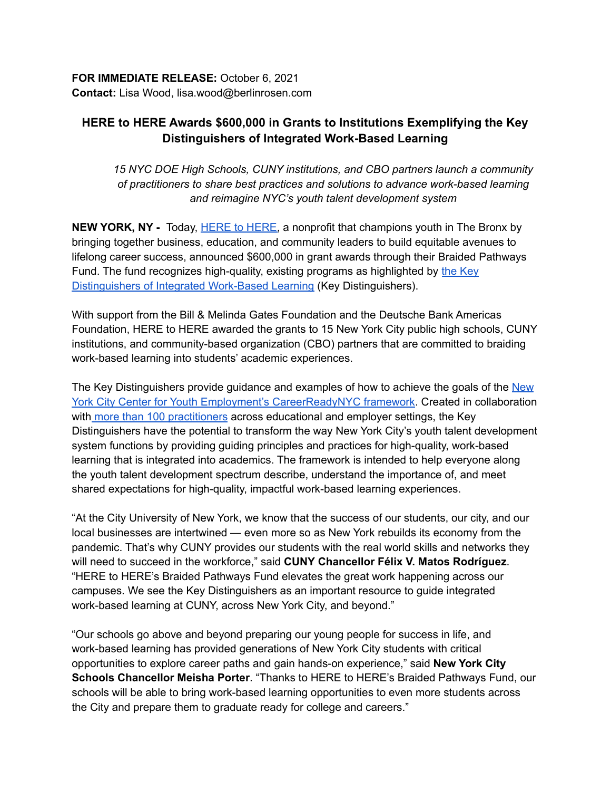## **HERE to HERE Awards \$600,000 in Grants to Institutions Exemplifying the Key Distinguishers of Integrated Work-Based Learning**

*15 NYC DOE High Schools, CUNY institutions, and CBO partners launch a community of practitioners to share best practices and solutions to advance work-based learning and reimagine NYC's youth talent development system*

**NEW YORK, NY** - Today, **HERE to HERE**, a nonprofit that champions youth in The Bronx by bringing together business, education, and community leaders to build equitable avenues to lifelong career success, announced \$600,000 in grant awards through their Braided Pathways Fund. The fund recognizes high-quality, existing programs as highlighted by the [Key](https://www.heretohere.org/wp-content/uploads/2021/02/Key-Distinguishers-for-Integrated-Work-based-Learning.pdf) [Distinguishers](https://www.heretohere.org/wp-content/uploads/2021/02/Key-Distinguishers-for-Integrated-Work-based-Learning.pdf) of Integrated Work-Based Learning (Key Distinguishers).

With support from the Bill & Melinda Gates Foundation and the Deutsche Bank Americas Foundation, HERE to HERE awarded the grants to 15 New York City public high schools, CUNY institutions, and community-based organization (CBO) partners that are committed to braiding work-based learning into students' academic experiences.

The Key Distinguishers provide guidance and examples of how to achieve the goals of the [New](https://cye.cityofnewyork.us/initiatives/careerready-nyc/) York City Center for Youth Employment's [CareerReadyNYC](https://cye.cityofnewyork.us/initiatives/careerready-nyc/) framework. Created in collaboration with more than 100 [practitioners](https://docs.google.com/document/d/1qUivcKcxVBBet_767OwueJsk7CVuuk_m7UWKIpo6_U4/edit?usp=sharing) across educational and employer settings, the Key Distinguishers have the potential to transform the way New York City's youth talent development system functions by providing guiding principles and practices for high-quality, work-based learning that is integrated into academics. The framework is intended to help everyone along the youth talent development spectrum describe, understand the importance of, and meet shared expectations for high-quality, impactful work-based learning experiences.

"At the City University of New York, we know that the success of our students, our city, and our local businesses are intertwined — even more so as New York rebuilds its economy from the pandemic. That's why CUNY provides our students with the real world skills and networks they will need to succeed in the workforce," said **CUNY Chancellor Félix V. Matos Rodríguez**. "HERE to HERE's Braided Pathways Fund elevates the great work happening across our campuses. We see the Key Distinguishers as an important resource to guide integrated work-based learning at CUNY, across New York City, and beyond."

"Our schools go above and beyond preparing our young people for success in life, and work-based learning has provided generations of New York City students with critical opportunities to explore career paths and gain hands-on experience," said **New York City Schools Chancellor Meisha Porter**. "Thanks to HERE to HERE's Braided Pathways Fund, our schools will be able to bring work-based learning opportunities to even more students across the City and prepare them to graduate ready for college and careers."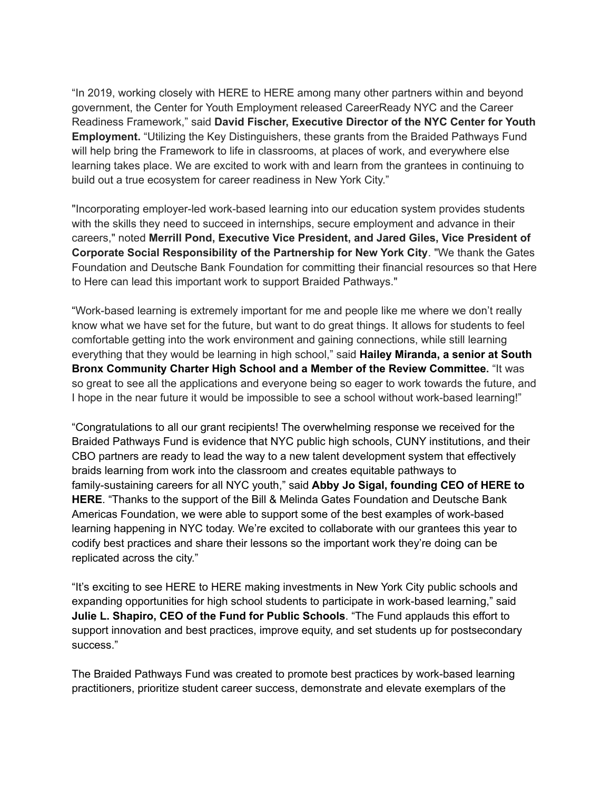"In 2019, working closely with HERE to HERE among many other partners within and beyond government, the Center for Youth Employment released CareerReady NYC and the Career Readiness Framework," said **David Fischer, Executive Director of the NYC Center for Youth Employment.** "Utilizing the Key Distinguishers, these grants from the Braided Pathways Fund will help bring the Framework to life in classrooms, at places of work, and everywhere else learning takes place. We are excited to work with and learn from the grantees in continuing to build out a true ecosystem for career readiness in New York City."

"Incorporating employer-led work-based learning into our education system provides students with the skills they need to succeed in internships, secure employment and advance in their careers," noted **Merrill Pond, Executive Vice President, and Jared Giles, Vice President of Corporate Social Responsibility of the Partnership for New York City**. "We thank the Gates Foundation and Deutsche Bank Foundation for committing their financial resources so that Here to Here can lead this important work to support Braided Pathways."

"Work-based learning is extremely important for me and people like me where we don't really know what we have set for the future, but want to do great things. It allows for students to feel comfortable getting into the work environment and gaining connections, while still learning everything that they would be learning in high school," said **Hailey Miranda, a senior at South Bronx Community Charter High School and a Member of the Review Committee.** "It was so great to see all the applications and everyone being so eager to work towards the future, and I hope in the near future it would be impossible to see a school without work-based learning!"

"Congratulations to all our grant recipients! The overwhelming response we received for the Braided Pathways Fund is evidence that NYC public high schools, CUNY institutions, and their CBO partners are ready to lead the way to a new talent development system that effectively braids learning from work into the classroom and creates equitable pathways to family-sustaining careers for all NYC youth," said **Abby Jo Sigal, founding CEO of HERE to HERE**. "Thanks to the support of the Bill & Melinda Gates Foundation and Deutsche Bank Americas Foundation, we were able to support some of the best examples of work-based learning happening in NYC today. We're excited to collaborate with our grantees this year to codify best practices and share their lessons so the important work they're doing can be replicated across the city."

"It's exciting to see HERE to HERE making investments in New York City public schools and expanding opportunities for high school students to participate in work-based learning," said **Julie L. Shapiro, CEO of the Fund for Public Schools**. "The Fund applauds this effort to support innovation and best practices, improve equity, and set students up for postsecondary success."

The Braided Pathways Fund was created to promote best practices by work-based learning practitioners, prioritize student career success, demonstrate and elevate exemplars of the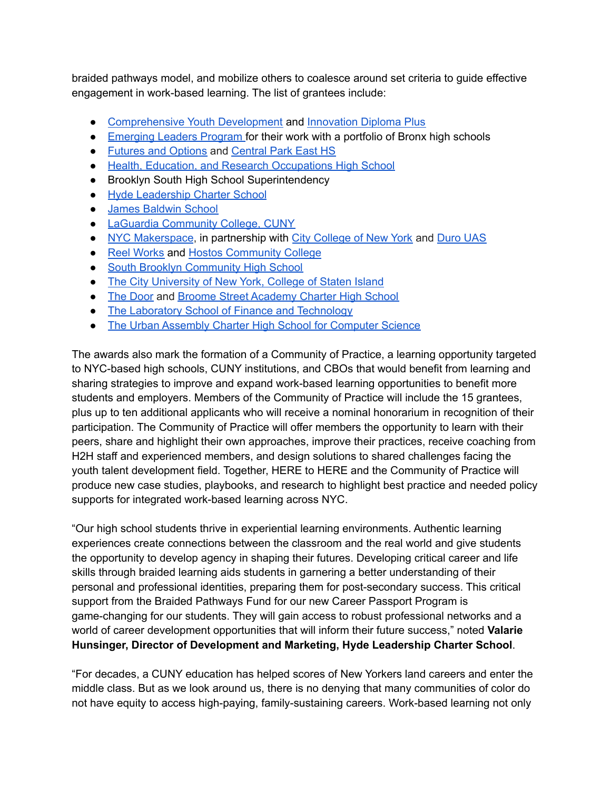braided pathways model, and mobilize others to coalesce around set criteria to guide effective engagement in work-based learning. The list of grantees include:

- [Comprehensive](https://comprehensiveyouthdevelopment.org/) Youth Development and [Innovation](https://www.innovationdp.org/) Diploma Plus
- [Emerging](https://www.mshs223.org/about-us/partnerships/) Leaders Program for their work with a portfolio of Bronx high schools
- Futures and [Options](https://www.futuresandoptions.org/fao/?) and [Central](https://www.centralparkeasths.org/) Park East HS
- Health, Education, and Research [Occupations](https://aomeara20.wixsite.com/herohigh) High School
- Brooklyn South High School Superintendency
- Hyde [Leadership](https://www.hydebronxny.org/) Charter School
- James [Baldwin](https://www.thejamesbaldwinschool.org/) School
- LaGuardia [Community](https://www.laguardia.edu/) College, CUNY
- NYC [Makerspace](http://nycmakerspace.org/), in partnership with City [College](https://www.ccny.org/) of New York and [Duro](https://www.durouas.com/) UAS
- Reel [Works](https://www.reelworks.org/) and Hostos [Community](https://www.hostos.cuny.edu/) College
- South Brooklyn [Community](https://www.mysbchs.org/) High School
- The City [University](http://www.csi.cuny.edu) of New York, College of Staten Island
- The [Door](https://door.org/) and Broome Street [Academy](https://broomestreetacademy.org/) Charter High School
- The Laboratory School of Finance and [Technology](http://www.mshs223.org/)
- The Urban Assembly Charter High School for [Computer](https://www.compscihigh.org/) Science

The awards also mark the formation of a Community of Practice, a learning opportunity targeted to NYC-based high schools, CUNY institutions, and CBOs that would benefit from learning and sharing strategies to improve and expand work-based learning opportunities to benefit more students and employers. Members of the Community of Practice will include the 15 grantees, plus up to ten additional applicants who will receive a nominal honorarium in recognition of their participation. The Community of Practice will offer members the opportunity to learn with their peers, share and highlight their own approaches, improve their practices, receive coaching from H2H staff and experienced members, and design solutions to shared challenges facing the youth talent development field. Together, HERE to HERE and the Community of Practice will produce new case studies, playbooks, and research to highlight best practice and needed policy supports for integrated work-based learning across NYC.

"Our high school students thrive in experiential learning environments. Authentic learning experiences create connections between the classroom and the real world and give students the opportunity to develop agency in shaping their futures. Developing critical career and life skills through braided learning aids students in garnering a better understanding of their personal and professional identities, preparing them for post-secondary success. This critical support from the Braided Pathways Fund for our new Career Passport Program is game-changing for our students. They will gain access to robust professional networks and a world of career development opportunities that will inform their future success," noted **Valarie Hunsinger, Director of Development and Marketing, Hyde Leadership Charter School**.

"For decades, a CUNY education has helped scores of New Yorkers land careers and enter the middle class. But as we look around us, there is no denying that many communities of color do not have equity to access high-paying, family-sustaining careers. Work-based learning not only